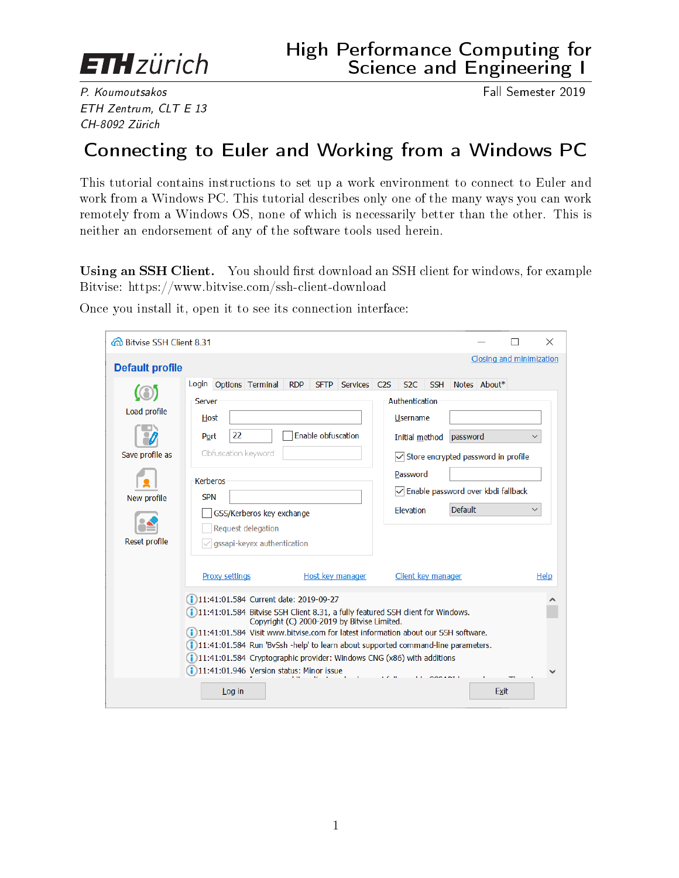

P. Koumoutsakos Fall Semester 2019 ETH Zentrum, CLT E 13 CH-8092 Zürich

## Connecting to Euler and Working from a Windows PC

This tutorial contains instructions to set up a work environment to connect to Euler and work from a Windows PC. This tutorial describes only one of the many ways you can work remotely from a Windows OS, none of which is necessarily better than the other. This is neither an endorsement of any of the software tools used herein.

Using an SSH Client. You should first download an SSH client for windows, for example Bitvise: https://www.bitvise.com/ssh-client-download

|                                                                                                                                                                                                                                                                                                                                                                            | Closing and minimization |                                                                                                                                                                                                                                                                                                                                                                                                                                                                                                                      |
|----------------------------------------------------------------------------------------------------------------------------------------------------------------------------------------------------------------------------------------------------------------------------------------------------------------------------------------------------------------------------|--------------------------|----------------------------------------------------------------------------------------------------------------------------------------------------------------------------------------------------------------------------------------------------------------------------------------------------------------------------------------------------------------------------------------------------------------------------------------------------------------------------------------------------------------------|
|                                                                                                                                                                                                                                                                                                                                                                            |                          |                                                                                                                                                                                                                                                                                                                                                                                                                                                                                                                      |
| Login Options Terminal<br><b>RDP</b><br>SFTP Services C2S<br>S <sub>2C</sub><br><b>SSH</b><br>Authentication<br>Server<br><b>Username</b><br>Host<br>Enable obfuscation<br>22<br>Port<br>Initial method<br>Obfuscation keyword<br>Password<br><b>Kerberos</b><br><b>SPN</b><br>Elevation<br>GSS/Kerberos key exchange<br>Request delegation<br>gssapi-keyex authentication |                          | $\checkmark$<br>$\checkmark$                                                                                                                                                                                                                                                                                                                                                                                                                                                                                         |
| Proxy settings<br>Host key manager<br>(11:41:01.584 Current date: 2019-09-27<br>Copyright (C) 2000-2019 by Bitvise Limited.<br>11:41:01.946 Version status: Minor issue                                                                                                                                                                                                    |                          | Help                                                                                                                                                                                                                                                                                                                                                                                                                                                                                                                 |
|                                                                                                                                                                                                                                                                                                                                                                            | Log in                   | Notes About*<br>password<br>$\sqrt{\ }$ Store encrypted password in profile<br>√Enable password over kbdi fallback<br><b>Default</b><br>Client key manager<br>(1) 11:41:01.584 Bitvise SSH Client 8.31, a fully featured SSH client for Windows.<br>(1)11:41:01.584 Visit www.bitvise.com for latest information about our SSH software.<br>(1)11:41:01.584 Run 'BvSsh -help' to learn about supported command-line parameters.<br>(1) 11:41:01.584 Cryptographic provider: Windows CNG (x86) with additions<br>Exit |

Once you install it, open it to see its connection interface: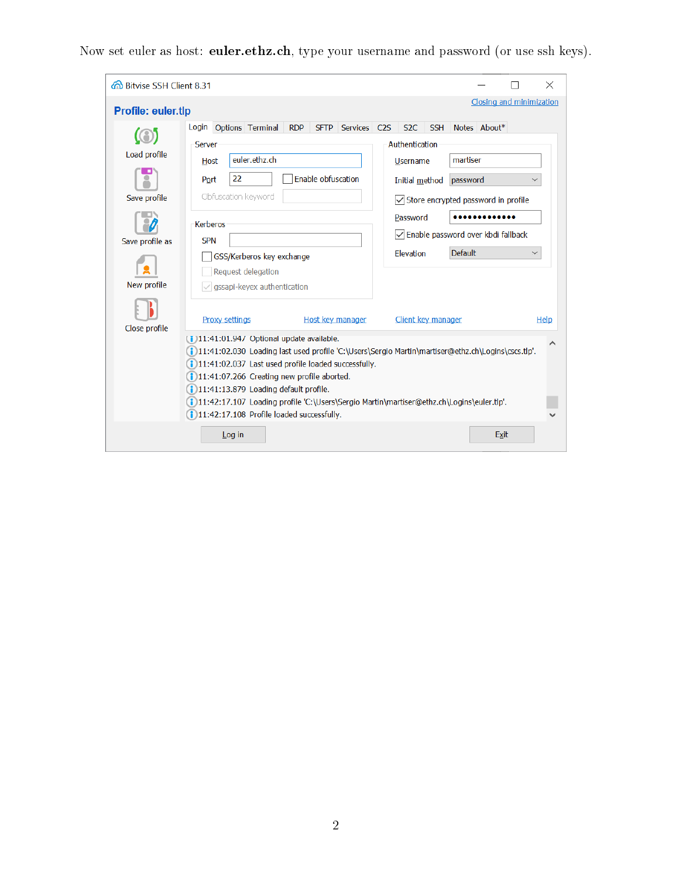Now set euler as host: euler.ethz.ch, type your username and password (or use ssh keys).

| 6 Bitvise SSH Client 8.31                                      | ×                                                                                                                                                                                                                                                                                                                                                                                                                                                                                                                                                                                                 |
|----------------------------------------------------------------|---------------------------------------------------------------------------------------------------------------------------------------------------------------------------------------------------------------------------------------------------------------------------------------------------------------------------------------------------------------------------------------------------------------------------------------------------------------------------------------------------------------------------------------------------------------------------------------------------|
| <b>Profile: euler.tlp</b>                                      | Closing and minimization                                                                                                                                                                                                                                                                                                                                                                                                                                                                                                                                                                          |
| Load profile<br>Save profile<br>Save profile as<br>New profile | Options Terminal<br><b>SSH</b><br>Notes About*<br><b>RDP</b><br>SFTP Services C2S<br>S <sub>2</sub> C<br>Login<br>Authentication<br>Server<br>euler.ethz.ch<br>martiser<br>Host<br><b>Username</b><br>22<br>Enable obfuscation<br>Port<br>password<br>Initial method<br>$\checkmark$<br>Obfuscation keyword<br>$\sqrt{\ }$ Store encrypted password in profile<br>Password<br><b>Kerberos</b><br>√Enable password over kbdi fallback<br><b>SPN</b><br><b>Default</b><br><b>Flevation</b><br>$\checkmark$<br>GSS/Kerberos key exchange<br>Request delegation<br>$\vee$ gssapi-keyex authentication |
| Close profile                                                  | <b>Proxy settings</b><br>Client key manager<br>Host key manager<br><b>Help</b><br>(1)11:41:01.94/ Optional update available.<br>∧<br>(1)11:41:02.030 Loading last used profile 'C:\Users\Sergio Martin\martiser@ethz.ch\Logins\cscs.tlp'.<br>(11:41:02.037 Last used profile loaded successfully.<br>(11:41:07.266 Creating new profile aborted.<br>11:41:13.879 Loading default profile.<br>(1)11:42:17.107 Loading profile 'C:\Users\Sergio Martin\martiser@ethz.ch\Logins\euler.tlp'.<br>11:42:17.108 Profile loaded successfully.<br>Log in<br>Exit                                           |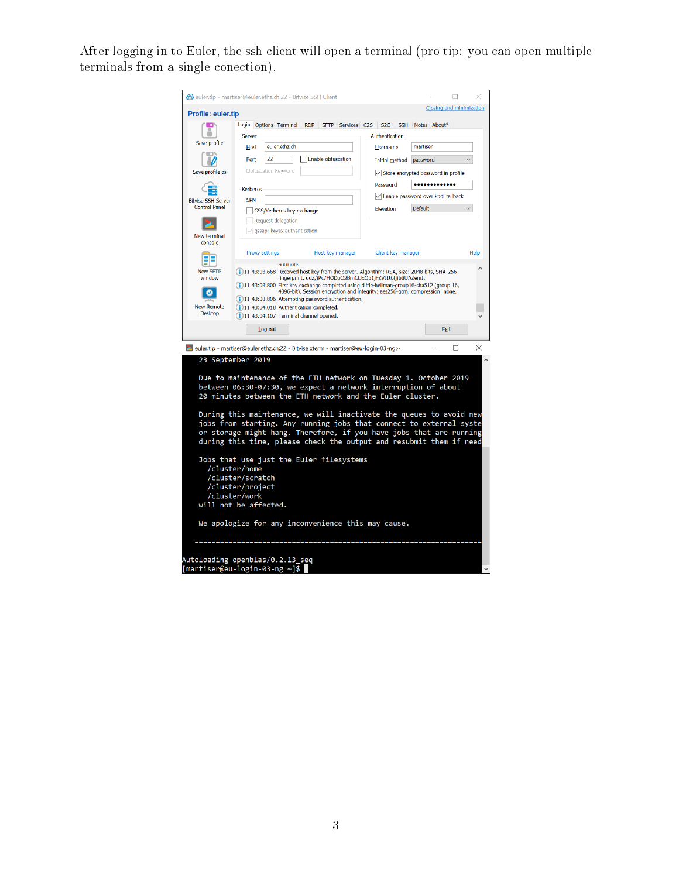After logging in to Euler, the ssh client will open a terminal (pro tip: you can open multiple terminals from a single conection).

| euler.tlp - martiser@euler.ethz.ch:22 - Bitvise SSH Client                                                                                 |                                                                                                                             |                       |                                                                                                      |  |                           |                                                                             |                 |                       |                                               |              |   |              |
|--------------------------------------------------------------------------------------------------------------------------------------------|-----------------------------------------------------------------------------------------------------------------------------|-----------------------|------------------------------------------------------------------------------------------------------|--|---------------------------|-----------------------------------------------------------------------------|-----------------|-----------------------|-----------------------------------------------|--------------|---|--------------|
| Closing and minimization<br><b>Profile: euler.tlp</b>                                                                                      |                                                                                                                             |                       |                                                                                                      |  |                           |                                                                             |                 |                       |                                               |              |   |              |
|                                                                                                                                            |                                                                                                                             |                       | Login Options Terminal                                                                               |  |                           | RDP SFTP Services C2S S2C SSH                                               |                 |                       |                                               | Notes About* |   |              |
| Save profile                                                                                                                               | <b>Server</b>                                                                                                               |                       |                                                                                                      |  |                           |                                                                             |                 | <b>Authentication</b> |                                               |              |   |              |
|                                                                                                                                            | euler.ethz.ch<br><b>Host</b>                                                                                                |                       |                                                                                                      |  |                           |                                                                             | <b>Username</b> | martiser              |                                               |              |   |              |
|                                                                                                                                            | Port                                                                                                                        | 22                    |                                                                                                      |  | <b>Enable obfuscation</b> |                                                                             |                 | Initial method        | password                                      |              |   |              |
| Save profile as                                                                                                                            |                                                                                                                             |                       | Obfuscation keyword                                                                                  |  |                           |                                                                             |                 |                       | $\sqrt{}$ Store encrypted password in profile |              |   |              |
|                                                                                                                                            | <b>Kerberos</b>                                                                                                             |                       |                                                                                                      |  |                           |                                                                             |                 | Password              |                                               |              |   |              |
| <b>Bitvise SSH Server</b>                                                                                                                  | <b>SPN</b>                                                                                                                  |                       |                                                                                                      |  |                           |                                                                             |                 |                       | √ Enable password over kbdi fallback          |              |   |              |
| <b>Control Panel</b>                                                                                                                       |                                                                                                                             |                       | GSS/Kerberos key exchange                                                                            |  |                           |                                                                             |                 | <b>Elevation</b>      | Default                                       |              |   | $\checkmark$ |
|                                                                                                                                            |                                                                                                                             |                       | Request delegation                                                                                   |  |                           |                                                                             |                 |                       |                                               |              |   |              |
| New terminal                                                                                                                               |                                                                                                                             |                       | $\vee$ gssapi-keyex authentication                                                                   |  |                           |                                                                             |                 |                       |                                               |              |   |              |
| console                                                                                                                                    |                                                                                                                             |                       |                                                                                                      |  |                           |                                                                             |                 |                       |                                               |              |   |              |
|                                                                                                                                            |                                                                                                                             | <b>Proxy settings</b> |                                                                                                      |  |                           | Host key manager                                                            |                 | Client key manager    |                                               |              |   | <b>Help</b>  |
| <b>New SFTP</b>                                                                                                                            |                                                                                                                             |                       | aggiuons<br>11:43:03.668 Received host key from the server. Algorithm: RSA, size: 2048 bits, SHA-256 |  |                           |                                                                             |                 |                       |                                               |              |   |              |
| window                                                                                                                                     |                                                                                                                             |                       | (1)11:43:03.800 First key exchange completed using diffie-hellman-group16-sha512 (group 16,          |  |                           | fingerprint: qdZ/jPc7HODpO2BmCtJxO51jFZVt1t6fjjbtiUAZemI.                   |                 |                       |                                               |              |   |              |
|                                                                                                                                            |                                                                                                                             |                       | (1)11:43:03.806 Attempting password authentication.                                                  |  |                           | 4096-bit). Session encryption and integrity: aes256-gcm, compression: none. |                 |                       |                                               |              |   |              |
| <b>New Remote</b>                                                                                                                          |                                                                                                                             |                       | 11:43:04.018 Authentication completed.                                                               |  |                           |                                                                             |                 |                       |                                               |              |   |              |
| <b>Desktop</b>                                                                                                                             |                                                                                                                             |                       | 11:43:04.107 Terminal channel opened.                                                                |  |                           |                                                                             |                 |                       |                                               |              |   |              |
|                                                                                                                                            |                                                                                                                             | Log out               |                                                                                                      |  |                           |                                                                             |                 |                       |                                               | Exit         |   |              |
| 2 euler.tlp - martiser@euler.ethz.ch:22 - Bitvise xterm - martiser@eu-login-03-ng:~                                                        |                                                                                                                             |                       |                                                                                                      |  |                           |                                                                             |                 |                       |                                               |              | П | ×            |
| 23 September 2019                                                                                                                          |                                                                                                                             |                       |                                                                                                      |  |                           |                                                                             |                 |                       |                                               |              |   |              |
|                                                                                                                                            |                                                                                                                             |                       |                                                                                                      |  |                           |                                                                             |                 |                       |                                               |              |   |              |
| Due to maintenance of the ETH network on Tuesday 1. October 2019                                                                           |                                                                                                                             |                       |                                                                                                      |  |                           |                                                                             |                 |                       |                                               |              |   |              |
|                                                                                                                                            | between 06:30-07:30, we expect a network interruption of about<br>20 minutes between the ETH network and the Euler cluster. |                       |                                                                                                      |  |                           |                                                                             |                 |                       |                                               |              |   |              |
|                                                                                                                                            |                                                                                                                             |                       |                                                                                                      |  |                           |                                                                             |                 |                       |                                               |              |   |              |
| During this maintenance, we will inactivate the queues to avoid new                                                                        |                                                                                                                             |                       |                                                                                                      |  |                           |                                                                             |                 |                       |                                               |              |   |              |
| jobs from starting. Any running jobs that connect to external syste<br>or storage might hang. Therefore, if you have jobs that are running |                                                                                                                             |                       |                                                                                                      |  |                           |                                                                             |                 |                       |                                               |              |   |              |
|                                                                                                                                            |                                                                                                                             |                       |                                                                                                      |  |                           |                                                                             |                 |                       |                                               |              |   |              |
|                                                                                                                                            | during this time, please check the output and resubmit them if need                                                         |                       |                                                                                                      |  |                           |                                                                             |                 |                       |                                               |              |   |              |
| Jobs that use just the Euler filesystems                                                                                                   |                                                                                                                             |                       |                                                                                                      |  |                           |                                                                             |                 |                       |                                               |              |   |              |
|                                                                                                                                            | /cluster/home<br>/cluster/scratch                                                                                           |                       |                                                                                                      |  |                           |                                                                             |                 |                       |                                               |              |   |              |
| /cluster/project                                                                                                                           |                                                                                                                             |                       |                                                                                                      |  |                           |                                                                             |                 |                       |                                               |              |   |              |
|                                                                                                                                            | /cluster/work                                                                                                               |                       |                                                                                                      |  |                           |                                                                             |                 |                       |                                               |              |   |              |
| will not be affected.                                                                                                                      |                                                                                                                             |                       |                                                                                                      |  |                           |                                                                             |                 |                       |                                               |              |   |              |
|                                                                                                                                            | We apologize for any inconvenience this may cause.                                                                          |                       |                                                                                                      |  |                           |                                                                             |                 |                       |                                               |              |   |              |
|                                                                                                                                            |                                                                                                                             |                       |                                                                                                      |  |                           |                                                                             |                 |                       |                                               |              |   |              |
|                                                                                                                                            |                                                                                                                             |                       |                                                                                                      |  |                           |                                                                             |                 |                       |                                               |              |   |              |
| Autoloading openblas/0.2.13 seq                                                                                                            |                                                                                                                             |                       |                                                                                                      |  |                           |                                                                             |                 |                       |                                               |              |   |              |
| [martiser@eu-login-03-ng ~]\$                                                                                                              |                                                                                                                             |                       |                                                                                                      |  |                           |                                                                             |                 |                       |                                               |              |   |              |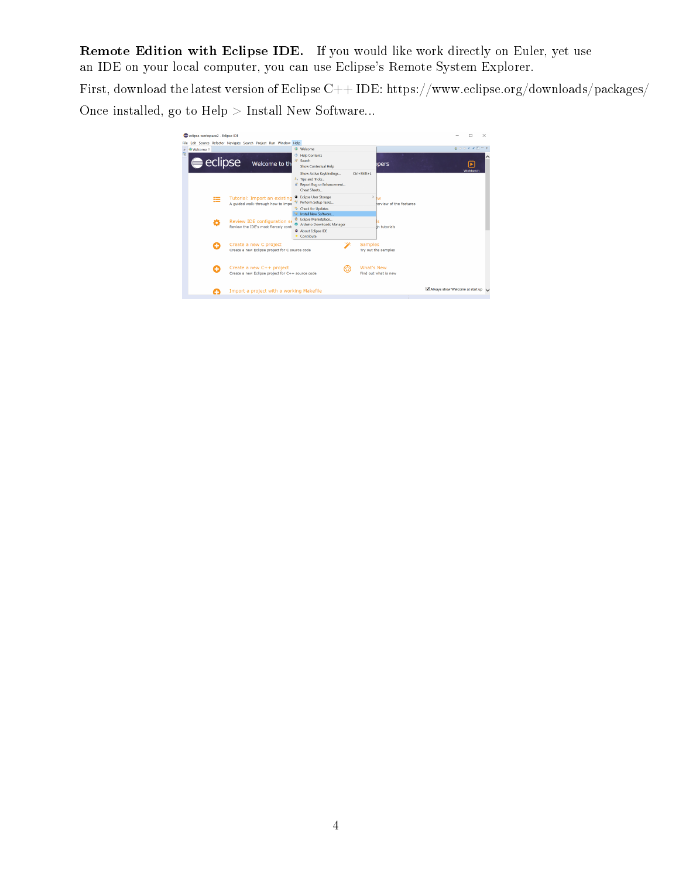Remote Edition with Eclipse IDE. If you would like work directly on Euler, yet use an IDE on your local computer, you can use Eclipse's Remote System Explorer.

First, download the latest version of Eclipse C++ IDE: https://www.eclipse.org/downloads/packages/ Once installed, go to Help > Install New Software...

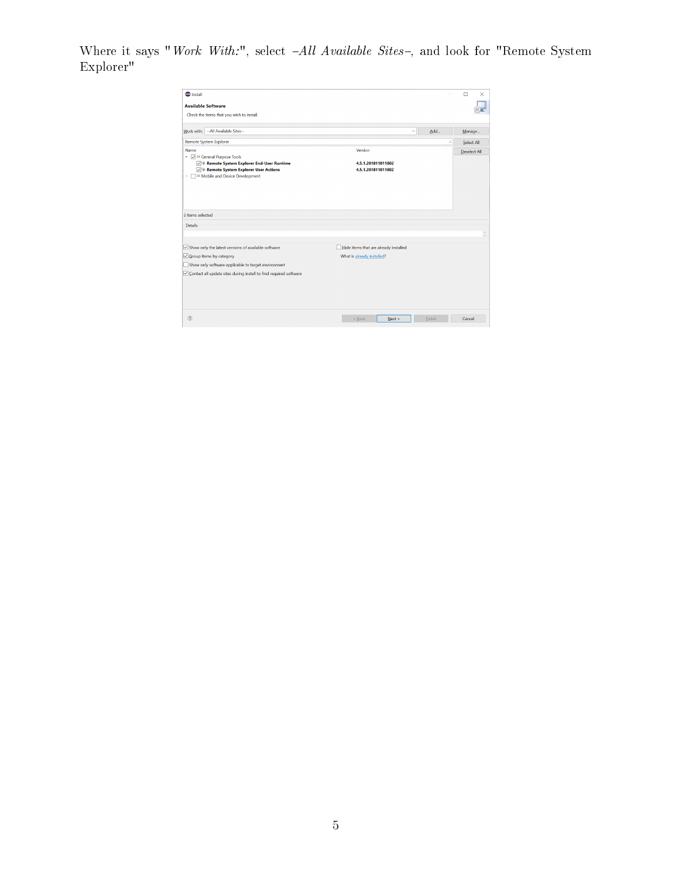Where it says "Work With:", select  $-All$  Available Sites-, and look for "Remote System Explorer"

| <b>O</b> Install                                                        |                                       |               | $\Box$<br>$\times$  |
|-------------------------------------------------------------------------|---------------------------------------|---------------|---------------------|
| <b>Available Software</b>                                               |                                       |               |                     |
| Check the items that you wish to install.                               |                                       |               |                     |
| --All Available Sites--<br>Work with:                                   | $\checkmark$                          | Add           | Manage              |
| Remote System Explorer                                                  |                                       |               | Select All          |
| Name                                                                    | Version                               |               | <b>Deselect All</b> |
| v v iv General Purpose Tools<br>Remote System Explorer End-User Runtime | 4.5.1.201811011802                    |               |                     |
| Remote System Explorer User Actions                                     | 4.5.1.201811011802                    |               |                     |
| <b>ID</b> Mobile and Device Development                                 |                                       |               |                     |
| 2 items selected                                                        |                                       |               |                     |
|                                                                         |                                       |               |                     |
| <b>Details</b>                                                          |                                       |               |                     |
|                                                                         |                                       |               |                     |
| $\sqrt{\ }$ Show only the latest versions of available software         | Hide items that are already installed |               |                     |
| Group items by category                                                 | What is already installed?            |               |                     |
| Show only software applicable to target environment                     |                                       |               |                     |
| ○ Contact all update sites during install to find required software     |                                       |               |                     |
|                                                                         |                                       |               |                     |
|                                                                         |                                       |               |                     |
|                                                                         |                                       |               |                     |
| (2)                                                                     |                                       |               |                     |
|                                                                         | $<$ Back<br>Next >                    | <b>Einish</b> | Cancel              |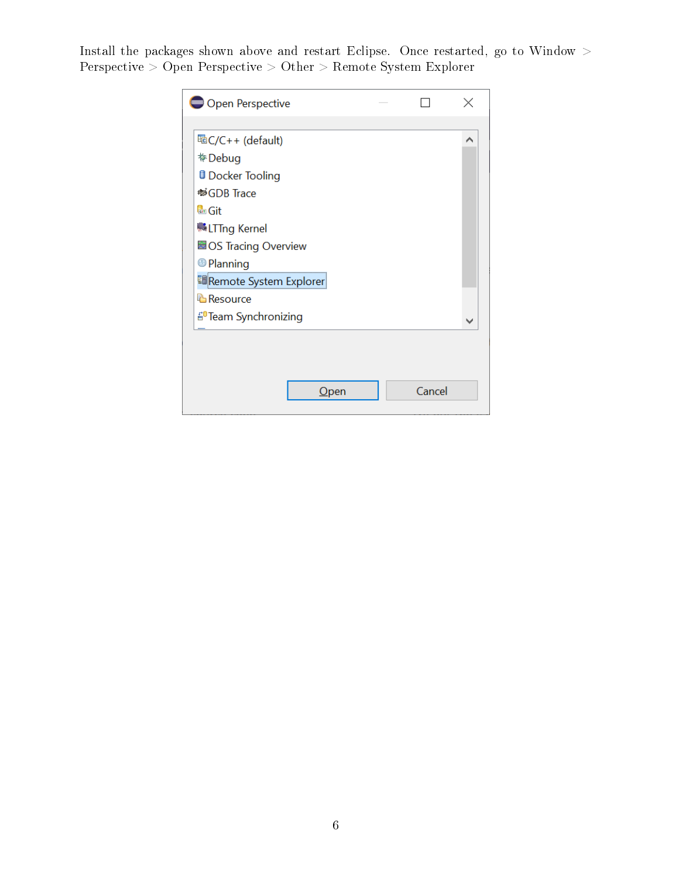Install the packages shown above and restart Eclipse. Once restarted, go to Window  $\geq$ Perspective > Open Perspective > Other > Remote System Explorer

| Open Perspective                 |        |   |
|----------------------------------|--------|---|
|                                  |        |   |
| HaC/C++ (default)                |        | ∧ |
| た Debug                          |        |   |
| <b>D</b> Docker Tooling          |        |   |
| <sup>®</sup> GDB Trace           |        |   |
| <b>d</b> <sub>d</sub> Git        |        |   |
| <b>LTTng Kernel</b>              |        |   |
| <b>BOS Tracing Overview</b>      |        |   |
| <sup>6</sup> Planning            |        |   |
| 国Remote System Explorer          |        |   |
| <b>B</b> Resource                |        |   |
| <sup>20</sup> Team Synchronizing |        |   |
|                                  |        |   |
|                                  |        |   |
|                                  |        |   |
| $O$ pen                          | Cancel |   |
|                                  |        |   |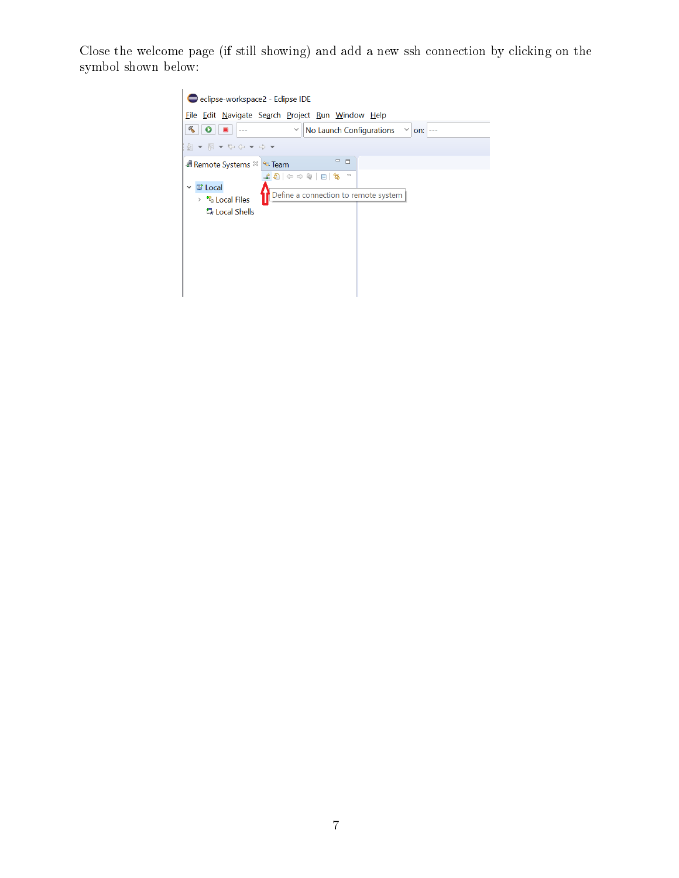Close the welcome page (if still showing) and add a new ssh connection by clicking on the symbol shown below:

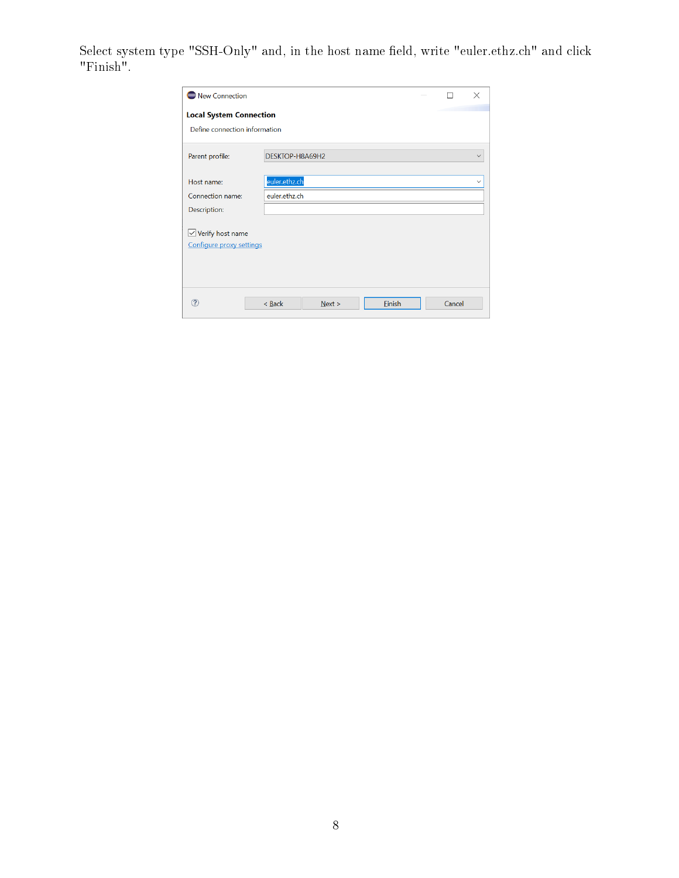Select system type "SSH-Only" and, in the host name field, write "euler.ethz.ch" and click "Finish".

| New Connection                                           |                 |        |        | п      | $\times$     |
|----------------------------------------------------------|-----------------|--------|--------|--------|--------------|
| <b>Local System Connection</b>                           |                 |        |        |        |              |
| Define connection information                            |                 |        |        |        |              |
| Parent profile:                                          | DESKTOP-H8A69H2 |        |        |        | $\checkmark$ |
|                                                          |                 |        |        |        |              |
| Host name:                                               | euler.ethz.ch   |        |        |        | $\checkmark$ |
| Connection name:                                         | euler.ethz.ch   |        |        |        |              |
| Description:                                             |                 |        |        |        |              |
| $\sqrt{\ }$ Verify host name<br>Configure proxy settings |                 |        |        |        |              |
|                                                          | < Back          | Next > | Finish | Cancel |              |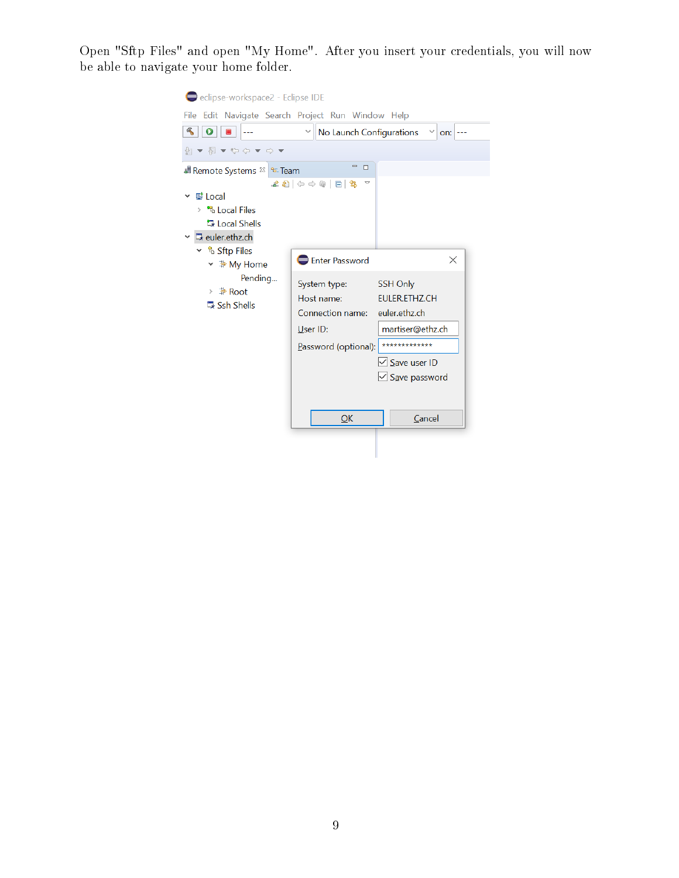Open "Sftp Files" and open "My Home". After you insert your credentials, you will now be able to navigate your home folder.

| eclipse-workspace2 - Eclipse IDE<br>File Edit Navigate Search Project Run Window Help<br>$\triangleleft$<br>$\mathbf o$<br>▼图▼や⇔▼◇▼                                                                                          | No Launch Configurations                                                                                                                                                             | $on:$ ---                                                                                                                                         |
|------------------------------------------------------------------------------------------------------------------------------------------------------------------------------------------------------------------------------|--------------------------------------------------------------------------------------------------------------------------------------------------------------------------------------|---------------------------------------------------------------------------------------------------------------------------------------------------|
| <b>∄ Remote Systems <sup>&amp;</sup> &amp; Team</b><br>탈 Local<br><sup>*</sup> Local Files<br>><br>最 Local Shells<br><b>最</b> euler.ethz.ch<br>∽ ៉ឺ\ Sftp Files<br>× ⊉ My Home<br>Pending<br>> ⊉ Root<br><b>は Ssh Shells</b> | $= 5$<br>$\pounds 2  \diamond \diamond @ E  \clubsuit$<br>$\bigtriangledown$<br>Enter Password<br>System type:<br>Host name:<br>Connection name:<br>User ID:<br>Password (optional): | $\times$<br>SSH Only<br><b>FULFR.FTHZ.CH</b><br>euler.ethz.ch<br>martiser@ethz.ch<br>*************<br>$\vee$ Save user ID<br>$\vee$ Save password |
|                                                                                                                                                                                                                              | QK                                                                                                                                                                                   | Cancel                                                                                                                                            |